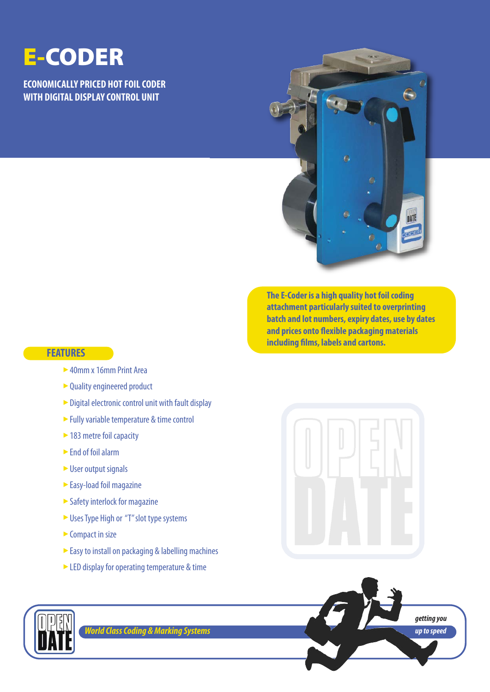## **E-CODER**

**ECONOMICALLY PRICED HOT FOIL CODER WITH DIGITAL DISPLAY CONTROL UNIT**



**The E-Coder is a high quality hot foil coding attachment particularly suited to overprinting batch and lot numbers, expiry dates, use by dates and prices onto flexible packaging materials including films, labels and cartons.**

#### **FEATURES**

- ► 40mm x 16mm Print Area
- ► Quality engineered product
- $\triangleright$  Digital electronic control unit with fault display
- ► Fully variable temperature & time control
- ► 183 metre foil capacity
- ► End of foil alarm
- ► User output signals
- ► Easy-load foil magazine
- $\blacktriangleright$  Safety interlock for magazine
- ► Uses Type High or "T" slot type systems
- $\triangleright$  Compact in size
- ► Easy to install on packaging & labelling machines
- ► LED display for operating temperature & time







*World Class Coding & Marking Systems*